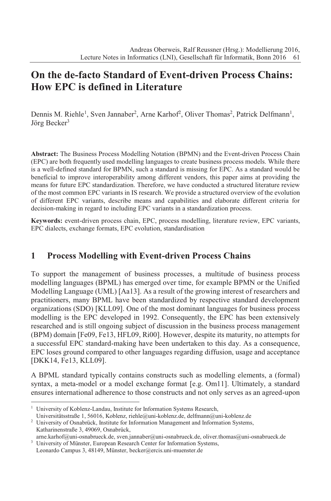# **On the de-facto Standard of Event-driven Process Chains: How EPC is defined in Literature**

Dennis M. Riehle<sup>1</sup>, Sven Jannaber<sup>2</sup>, Arne Karhof<sup>2</sup>, Oliver Thomas<sup>2</sup>, Patrick Delfmann<sup>1</sup>, Jörg Becker<sup>3</sup>

**Abstract:** The Business Process Modelling Notation (BPMN) and the Event-driven Process Chain (EPC) are both frequently used modelling languages to create business process models. While there is a well-defined standard for BPMN, such a standard is missing for EPC. As a standard would be beneficial to improve interoperability among different vendors, this paper aims at providing the means for future EPC standardization. Therefore, we have conducted a structured literature review of the most common EPC variants in IS research. We provide a structured overview of the evolution of different EPC variants, describe means and capabilities and elaborate different criteria for decision-making in regard to including EPC variants in a standardization process.

**Keywords:** event-driven process chain, EPC, process modelling, literature review, EPC variants, EPC dialects, exchange formats, EPC evolution, standardisation

# **1 Process Modelling with Event-driven Process Chains**

To support the management of business processes, a multitude of business process modelling languages (BPML) has emerged over time, for example BPMN or the Unified Modelling Language (UML) [Aa13]. As a result of the growing interest of researchers and practitioners, many BPML have been standardized by respective standard development organizations (SDO) [KLL09]. One of the most dominant languages for business process modelling is the EPC developed in 1992. Consequently, the EPC has been extensively researched and is still ongoing subject of discussion in the business process management (BPM) domain [Fe09, Fe13, HFL09, Ri00]. However, despite its maturity, no attempts for a successful EPC standard-making have been undertaken to this day. As a consequence, EPC loses ground compared to other languages regarding diffusion, usage and acceptance [DKK14, Fe13, KLL09].

A BPML standard typically contains constructs such as modelling elements, a (formal) syntax, a meta-model or a model exchange format [e.g. Om11]. Ultimately, a standard ensures international adherence to those constructs and not only serves as an agreed-upon

Leonardo Campus 3, 48149, Münster, becker@ercis.uni-muenster.de

<sup>&</sup>lt;sup>1</sup> University of Koblenz-Landau, Institute for Information Systems Research,

Universitätsstraße 1, 56016, Koblenz, riehle@uni-koblenz.de, delfmann@uni-koblenz.de <sup>2</sup> University of Osnabrück, Institute for Information Management and Information Systems, Katharinenstraße 3, 49069, Osnabrück,

arne.karhof@uni-osnabrueck.de, sven.jannaber@uni-osnabrueck.de, oliver.thomas@uni-osnabrueck.de <sup>3</sup> University of Münster, European Research Center for Information Systems,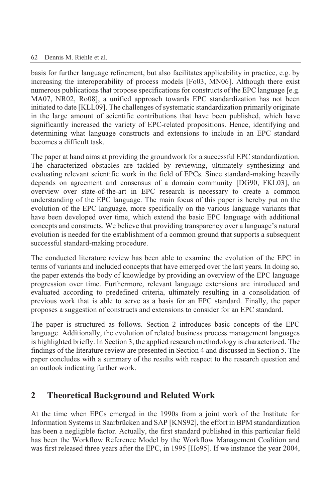basis for further language refinement, but also facilitates applicability in practice, e.g. by increasing the interoperability of process models [Fo03, MN06]. Although there exist numerous publications that propose specifications for constructs of the EPC language [e.g. MA07, NR02, Ro08], a unified approach towards EPC standardization has not been initiated to date [KLL09]. The challenges of systematic standardization primarily originate in the large amount of scientific contributions that have been published, which have significantly increased the variety of EPC-related propositions. Hence, identifying and determining what language constructs and extensions to include in an EPC standard becomes a difficult task.

The paper at hand aims at providing the groundwork for a successful EPC standardization. The characterized obstacles are tackled by reviewing, ultimately synthesizing and evaluating relevant scientific work in the field of EPCs. Since standard-making heavily depends on agreement and consensus of a domain community [DG90, FKL03], an overview over state-of-the-art in EPC research is necessary to create a common understanding of the EPC language. The main focus of this paper is hereby put on the evolution of the EPC language, more specifically on the various language variants that have been developed over time, which extend the basic EPC language with additional concepts and constructs. We believe that providing transparency over a language's natural evolution is needed for the establishment of a common ground that supports a subsequent successful standard-making procedure.

The conducted literature review has been able to examine the evolution of the EPC in terms of variants and included concepts that have emerged over the last years. In doing so, the paper extends the body of knowledge by providing an overview of the EPC language progression over time. Furthermore, relevant language extensions are introduced and evaluated according to predefined criteria, ultimately resulting in a consolidation of previous work that is able to serve as a basis for an EPC standard. Finally, the paper proposes a suggestion of constructs and extensions to consider for an EPC standard.

The paper is structured as follows. Section 2 introduces basic concepts of the EPC language. Additionally, the evolution of related business process management languages is highlighted briefly. In Section 3, the applied research methodology is characterized. The findings of the literature review are presented in Section 4 and discussed in Section 5. The paper concludes with a summary of the results with respect to the research question and an outlook indicating further work.

## **2 Theoretical Background and Related Work**

At the time when EPCs emerged in the 1990s from a joint work of the Institute for Information Systems in Saarbrücken and SAP [KNS92], the effort in BPM standardization has been a negligible factor. Actually, the first standard published in this particular field has been the Workflow Reference Model by the Workflow Management Coalition and was first released three years after the EPC, in 1995 [Ho95]. If we instance the year 2004,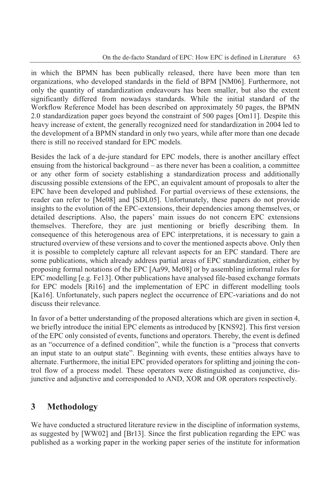in which the BPMN has been publically released, there have been more than ten organizations, who developed standards in the field of BPM [NM06]. Furthermore, not only the quantity of standardization endeavours has been smaller, but also the extent significantly differed from nowadays standards. While the initial standard of the Workflow Reference Model has been described on approximately 50 pages, the BPMN 2.0 standardization paper goes beyond the constraint of 500 pages [Om11]. Despite this heavy increase of extent, the generally recognized need for standardization in 2004 led to the development of a BPMN standard in only two years, while after more than one decade there is still no received standard for EPC models.

Besides the lack of a de-jure standard for EPC models, there is another ancillary effect ensuing from the historical background – as there never has been a coalition, a committee or any other form of society establishing a standardization process and additionally discussing possible extensions of the EPC, an equivalent amount of proposals to alter the EPC have been developed and published. For partial overviews of these extensions, the reader can refer to [Me08] and [SDL05]. Unfortunately, these papers do not provide insights to the evolution of the EPC-extensions, their dependencies among themselves, or detailed descriptions. Also, the papers' main issues do not concern EPC extensions themselves. Therefore, they are just mentioning or briefly describing them. In consequence of this heterogenous area of EPC interpretations, it is necessary to gain a structured overview of these versions and to cover the mentioned aspects above. Only then it is possible to completely capture all relevant aspects for an EPC standard. There are some publications, which already address partial areas of EPC standardization, either by proposing formal notations of the EPC [Aa99, Me08] or by assembling informal rules for EPC modelling [e.g. Fe13]. Other publications have analysed file-based exchange formats for EPC models [Ri16] and the implementation of EPC in different modelling tools [Ka16]. Unfortunately, such papers neglect the occurrence of EPC-variations and do not discuss their relevance.

In favor of a better understanding of the proposed alterations which are given in section 4, we briefly introduce the initial EPC elements as introduced by [KNS92]. This first version of the EPC only consisted of events, functions and operators. Thereby, the event is defined as an "occurrence of a defined condition", while the function is a "process that converts an input state to an output state". Beginning with events, these entities always have to alternate. Furthermore, the initial EPC provided operators for splitting and joining the control flow of a process model. These operators were distinguished as conjunctive, disjunctive and adjunctive and corresponded to AND, XOR and OR operators respectively.

## **3 Methodology**

We have conducted a structured literature review in the discipline of information systems, as suggested by [WW02] and [Br13]. Since the first publication regarding the EPC was published as a working paper in the working paper series of the institute for information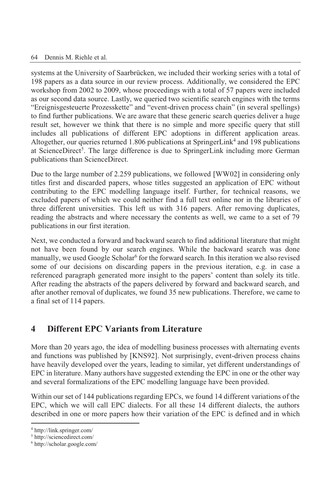systems at the University of Saarbrücken, we included their working series with a total of 198 papers as a data source in our review process. Additionally, we considered the EPC workshop from 2002 to 2009, whose proceedings with a total of 57 papers were included as our second data source. Lastly, we queried two scientific search engines with the terms "Ereignisgesteuerte Prozesskette" and "event-driven process chain" (in several spellings) to find further publications. We are aware that these generic search queries deliver a huge result set, however we think that there is no simple and more specific query that still includes all publications of different EPC adoptions in different application areas. Altogether, our queries returned 1.806 publications at SpringerLink<sup>4</sup> and 198 publications at ScienceDirect<sup>5</sup>. The large difference is due to SpringerLink including more German publications than ScienceDirect.

Due to the large number of 2.259 publications, we followed [WW02] in considering only titles first and discarded papers, whose titles suggested an application of EPC without contributing to the EPC modelling language itself. Further, for technical reasons, we excluded papers of which we could neither find a full text online nor in the libraries of three different universities. This left us with 316 papers. After removing duplicates, reading the abstracts and where necessary the contents as well, we came to a set of 79 publications in our first iteration.

Next, we conducted a forward and backward search to find additional literature that might not have been found by our search engines. While the backward search was done manually, we used Google Scholar<sup>6</sup> for the forward search. In this iteration we also revised some of our decisions on discarding papers in the previous iteration, e.g. in case a referenced paragraph generated more insight to the papers' content than solely its title. After reading the abstracts of the papers delivered by forward and backward search, and after another removal of duplicates, we found 35 new publications. Therefore, we came to a final set of 114 papers.

## **4 Different EPC Variants from Literature**

More than 20 years ago, the idea of modelling business processes with alternating events and functions was published by [KNS92]. Not surprisingly, event-driven process chains have heavily developed over the years, leading to similar, yet different understandings of EPC in literature. Many authors have suggested extending the EPC in one or the other way and several formalizations of the EPC modelling language have been provided.

Within our set of 144 publications regarding EPCs, we found 14 different variations of the EPC, which we will call EPC dialects. For all these 14 different dialects, the authors described in one or more papers how their variation of the EPC is defined and in which

<sup>4</sup> http://link.springer.com/

<sup>5</sup> http://sciencedirect.com/

<sup>6</sup> http://scholar.google.com/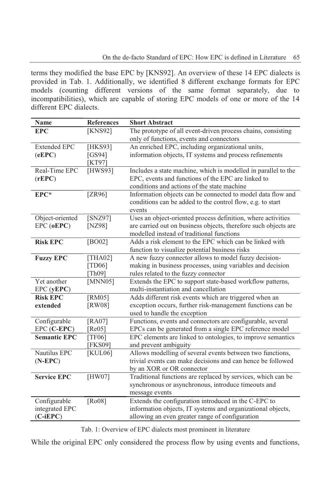terms they modified the base EPC by [KNS92]. An overview of these 14 EPC dialects is provided in Tab. 1. Additionally, we identified 8 different exchange formats for EPC models (counting different versions of the same format separately, due to incompatibilities), which are capable of storing EPC models of one or more of the 14 different EPC dialects.

| <b>Name</b>         | <b>References</b> | <b>Short Abstract</b>                                           |
|---------------------|-------------------|-----------------------------------------------------------------|
| <b>EPC</b>          | [KNS92]           | The prototype of all event-driven process chains, consisting    |
|                     |                   | only of functions, events and connectors                        |
| <b>Extended EPC</b> | [HKS93]           | An enriched EPC, including organizational units,                |
| (eEPC)              | [ $GS94$ ]        | information objects, IT systems and process refinements         |
|                     | [ $KT97$ ]        |                                                                 |
| Real-Time EPC       | [HWS93]           | Includes a state machine, which is modelled in parallel to the  |
| (rEPC)              |                   | EPC, events and functions of the EPC are linked to              |
|                     |                   | conditions and actions of the state machine                     |
| EPC*                | [ZR96]            | Information objects can be connected to model data flow and     |
|                     |                   | conditions can be added to the control flow, e.g. to start      |
|                     |                   | events                                                          |
| Object-oriented     | [SNZ97]           | Uses an object-oriented process definition, where activities    |
| EPC (oEPC)          | [NZ98]            | are carried out on business objects, therefore such objects are |
|                     |                   | modelled instead of traditional functions                       |
| <b>Risk EPC</b>     | [ $BO02$ ]        | Adds a risk element to the EPC which can be linked with         |
|                     |                   | function to visualize potential business risks                  |
| <b>Fuzzy EPC</b>    | <b>THA021</b>     | A new fuzzy connector allows to model fuzzy decision-           |
|                     | [TD06]            | making in business processes, using variables and decision      |
|                     | [Th09]            | rules related to the fuzzy connector                            |
| Yet another         | [MNN05]           | Extends the EPC to support state-based workflow patterns,       |
| $EPC$ ( $yEPC$ )    |                   | multi-instantiation and cancellation                            |
| <b>Risk EPC</b>     | [ $RM05$ ]        | Adds different risk events which are triggered when an          |
| extended            | [RW08]            | exception occurs, further risk-management functions can be      |
|                     |                   | used to handle the exception                                    |
| Configurable        | $[RA07]$          | Functions, events and connectors are configurable, several      |
| EPC (C-EPC)         | [ $Re05$ ]        | EPCs can be generated from a single EPC reference model         |
| <b>Semantic EPC</b> | [TF06]            | EPC elements are linked to ontologies, to improve semantics     |
|                     | [FKS09]           | and prevent ambiguity                                           |
| Nautilus EPC        | KUL06             | Allows modelling of several events between two functions,       |
| $(N-EPC)$           |                   | trivial events can make decisions and can hence be followed     |
|                     |                   | by an XOR or OR connector                                       |
| <b>Service EPC</b>  | [HW07]            | Traditional functions are replaced by services, which can be    |
|                     |                   | synchronous or asynchronous, introduce timeouts and             |
|                     |                   | message events                                                  |
| Configurable        | [Ro08]            | Extends the configuration introduced in the C-EPC to            |
| integrated EPC      |                   | information objects, IT systems and organizational objects,     |
| $(C-iEPC)$          |                   | allowing an even greater range of configuration                 |
|                     |                   |                                                                 |

Tab. 1: Overview of EPC dialects most prominent in literature

While the original EPC only considered the process flow by using events and functions,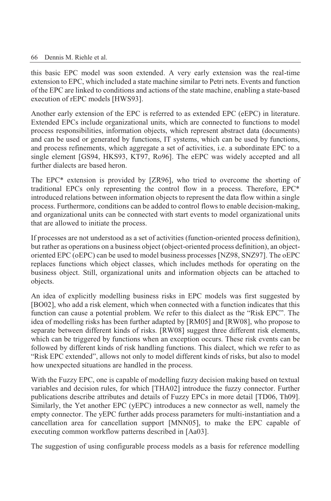this basic EPC model was soon extended. A very early extension was the real-time extension to EPC, which included a state machine similar to Petri nets. Events and function of the EPC are linked to conditions and actions of the state machine, enabling a state-based execution of rEPC models [HWS93].

Another early extension of the EPC is referred to as extended EPC (eEPC) in literature. Extended EPCs include organizational units, which are connected to functions to model process responsibilities, information objects, which represent abstract data (documents) and can be used or generated by functions, IT systems, which can be used by functions, and process refinements, which aggregate a set of activities, i.e. a subordinate EPC to a single element [GS94, HKS93, KT97, Ro96]. The eEPC was widely accepted and all further dialects are based heron.

The EPC\* extension is provided by [ZR96], who tried to overcome the shorting of traditional EPCs only representing the control flow in a process. Therefore, EPC\* introduced relations between information objects to represent the data flow within a single process. Furthermore, conditions can be added to control flows to enable decision-making, and organizational units can be connected with start events to model organizational units that are allowed to initiate the process.

If processes are not understood as a set of activities (function-oriented process definition), but rather as operations on a business object (object-oriented process definition), an objectoriented EPC (oEPC) can be used to model business processes [NZ98, SNZ97]. The oEPC replaces functions which object classes, which includes methods for operating on the business object. Still, organizational units and information objects can be attached to objects.

An idea of explicitly modelling business risks in EPC models was first suggested by [BO02], who add a risk element, which when connected with a function indicates that this function can cause a potential problem. We refer to this dialect as the "Risk EPC". The idea of modelling risks has been further adapted by [RM05] and [RW08], who propose to separate between different kinds of risks. [RW08] suggest three different risk elements, which can be triggered by functions when an exception occurs. These risk events can be followed by different kinds of risk handling functions. This dialect, which we refer to as "Risk EPC extended", allows not only to model different kinds of risks, but also to model how unexpected situations are handled in the process.

With the Fuzzy EPC, one is capable of modelling fuzzy decision making based on textual variables and decision rules, for which [THA02] introduce the fuzzy connector. Further publications describe attributes and details of Fuzzy EPCs in more detail [TD06, Th09]. Similarly, the Yet another EPC (yEPC) introduces a new connector as well, namely the empty connector. The yEPC further adds process parameters for multi-instantiation and a cancellation area for cancellation support [MNN05], to make the EPC capable of executing common workflow patterns described in [Aa03].

The suggestion of using configurable process models as a basis for reference modelling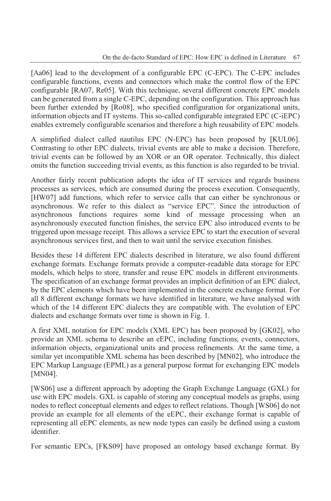[Aa06] lead to the development of a configurable EPC (C-EPC). The C-EPC includes configurable functions, events and connectors which make the control flow of the EPC configurable [RA07, Re05]. With this technique, several different concrete EPC models can be generated from a single C-EPC, depending on the configuration. This approach has been further extended by [Ro08], who specified configuration for organizational units, information objects and IT systems. This so-called configurable integrated EPC (C-iEPC) enables extremely configurable scenarios and therefore a high reusability of EPC models.

A simplified dialect called nautilus EPC (N-EPC) has been proposed by [KUL06]. Contrasting to other EPC dialects, trivial events are able to make a decision. Therefore, trivial events can be followed by an XOR or an OR operator. Technically, this dialect omits the function succeeding trivial events, as this function is also regarded to be trivial.

Another fairly recent publication adopts the idea of IT services and regards business processes as services, which are consumed during the process execution. Consequently, [HW07] add functions, which refer to service calls that can either be synchronous or asynchronous. We refer to this dialect as "service EPC". Since the introduction of asynchronous functions requires some kind of message processing when an asynchronously executed function finishes, the service EPC also introduced events to be triggered upon message receipt. This allows a service EPC to start the execution of several asynchronous services first, and then to wait until the service execution finishes.

Besides these 14 different EPC dialects described in literature, we also found different exchange formats. Exchange formats provide a computer-readable data storage for EPC models, which helps to store, transfer and reuse EPC models in different environments. The specification of an exchange format provides an implicit definition of an EPC dialect, by the EPC elements which have been implemented in the concrete exchange format. For all 8 different exchange formats we have identified in literature, we have analysed with which of the 14 different EPC dialects they are compatible with. The evolution of EPC dialects and exchange formats over time is shown in Fig. 1.

A first XML notation for EPC models (XML EPC) has been proposed by [GK02], who provide an XML schema to describe an eEPC, including functions, events, connectors, information objects, organizational units and process refinements. At the same time, a similar yet incompatible XML schema has been described by [MN02], who introduce the EPC Markup Language (EPML) as a general purpose format for exchanging EPC models [MN04].

[WS06] use a different approach by adopting the Graph Exchange Language (GXL) for use with EPC models. GXL is capable of storing any conceptual models as graphs, using nodes to reflect conceptual elements and edges to reflect relations. Though [WS06] do not provide an example for all elements of the eEPC, their exchange format is capable of representing all eEPC elements, as new node types can easily be defined using a custom identifier.

For semantic EPCs, [FKS09] have proposed an ontology based exchange format. By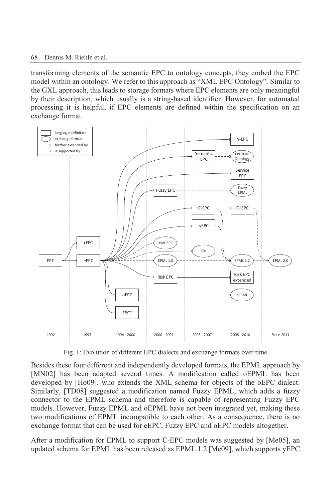transforming elements of the semantic EPC to ontology concepts, they embed the EPC model within an ontology. We refer to this approach as "XML EPC Ontology". Similar to the GXL approach, this leads to storage formats where EPC elements are only meaningful by their description, which usually is a string-based identifier. However, for automated processing it is helpful, if EPC elements are defined within the specification on an exchange format.



Fig. 1: Evolution of different EPC dialects and exchange formats over time

Besides these four different and independently developed formats, the EPML approach by [MN02] has been adapted several times. A modification called oEPML has been developed by [Ho09], who extends the XML schema for objects of the oEPC dialect. Similarly, [TD08] suggested a modification named Fuzzy EPML, which adds a fuzzy connector to the EPML schema and therefore is capable of representing Fuzzy EPC models. However, Fuzzy EPML and oEPML have not been integrated yet, making these two modifications of EPML incompatible to each other. As a consequence, there is no exchange format that can be used for eEPC, Fuzzy EPC and oEPC models altogether.

After a modification for EPML to support C-EPC models was suggested by [Me05], an updated schema for EPML has been released as EPML 1.2 [Me09], which supports yEPC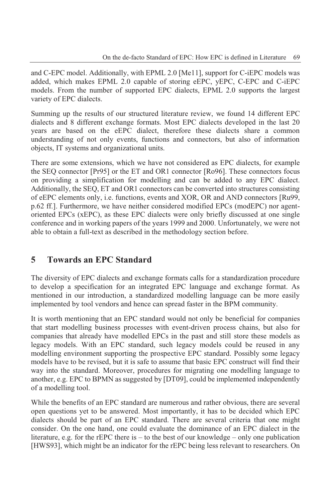and C-EPC model. Additionally, with EPML 2.0 [Me11], support for C-iEPC models was added, which makes EPML 2.0 capable of storing eEPC, yEPC, C-EPC and C-iEPC models. From the number of supported EPC dialects, EPML 2.0 supports the largest variety of EPC dialects.

Summing up the results of our structured literature review, we found 14 different EPC dialects and 8 different exchange formats. Most EPC dialects developed in the last 20 years are based on the eEPC dialect, therefore these dialects share a common understanding of not only events, functions and connectors, but also of information objects, IT systems and organizational units.

There are some extensions, which we have not considered as EPC dialects, for example the SEQ connector [Pr95] or the ET and OR1 connector [Ro96]. These connectors focus on providing a simplification for modelling and can be added to any EPC dialect. Additionally, the SEQ, ET and OR1 connectors can be converted into structures consisting of eEPC elements only, i.e. functions, events and XOR, OR and AND connectors [Ru99, p.62 ff.]. Furthermore, we have neither considered modified EPCs (modEPC) nor agentoriented EPCs (xEPC), as these EPC dialects were only briefly discussed at one single conference and in working papers of the years 1999 and 2000. Unfortunately, we were not able to obtain a full-text as described in the methodology section before.

# **5 Towards an EPC Standard**

The diversity of EPC dialects and exchange formats calls for a standardization procedure to develop a specification for an integrated EPC language and exchange format. As mentioned in our introduction, a standardized modelling language can be more easily implemented by tool vendors and hence can spread faster in the BPM community.

It is worth mentioning that an EPC standard would not only be beneficial for companies that start modelling business processes with event-driven process chains, but also for companies that already have modelled EPCs in the past and still store these models as legacy models. With an EPC standard, such legacy models could be reused in any modelling environment supporting the prospective EPC standard. Possibly some legacy models have to be revised, but it is safe to assume that basic EPC construct will find their way into the standard. Moreover, procedures for migrating one modelling language to another, e.g. EPC to BPMN as suggested by [DT09], could be implemented independently of a modelling tool.

While the benefits of an EPC standard are numerous and rather obvious, there are several open questions yet to be answered. Most importantly, it has to be decided which EPC dialects should be part of an EPC standard. There are several criteria that one might consider. On the one hand, one could evaluate the dominance of an EPC dialect in the literature, e.g. for the rEPC there is – to the best of our knowledge – only one publication [HWS93], which might be an indicator for the rEPC being less relevant to researchers. On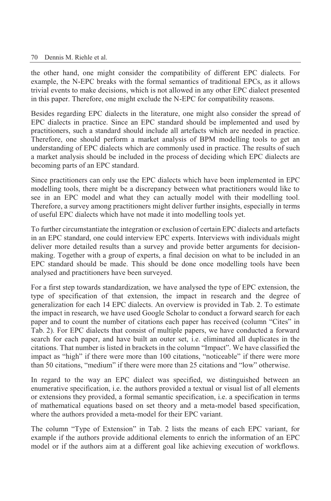the other hand, one might consider the compatibility of different EPC dialects. For example, the N-EPC breaks with the formal semantics of traditional EPCs, as it allows trivial events to make decisions, which is not allowed in any other EPC dialect presented in this paper. Therefore, one might exclude the N-EPC for compatibility reasons.

Besides regarding EPC dialects in the literature, one might also consider the spread of EPC dialects in practice. Since an EPC standard should be implemented and used by practitioners, such a standard should include all artefacts which are needed in practice. Therefore, one should perform a market analysis of BPM modelling tools to get an understanding of EPC dialects which are commonly used in practice. The results of such a market analysis should be included in the process of deciding which EPC dialects are becoming parts of an EPC standard.

Since practitioners can only use the EPC dialects which have been implemented in EPC modelling tools, there might be a discrepancy between what practitioners would like to see in an EPC model and what they can actually model with their modelling tool. Therefore, a survey among practitioners might deliver further insights, especially in terms of useful EPC dialects which have not made it into modelling tools yet.

To further circumstantiate the integration or exclusion of certain EPC dialects and artefacts in an EPC standard, one could interview EPC experts. Interviews with individuals might deliver more detailed results than a survey and provide better arguments for decisionmaking. Together with a group of experts, a final decision on what to be included in an EPC standard should be made. This should be done once modelling tools have been analysed and practitioners have been surveyed.

For a first step towards standardization, we have analysed the type of EPC extension, the type of specification of that extension, the impact in research and the degree of generalization for each 14 EPC dialects. An overview is provided in Tab. 2. To estimate the impact in research, we have used Google Scholar to conduct a forward search for each paper and to count the number of citations each paper has received (column "Cites" in Tab. 2). For EPC dialects that consist of multiple papers, we have conducted a forward search for each paper, and have built an outer set, i.e. eliminated all duplicates in the citations. That number is listed in brackets in the column "Impact". We have classified the impact as "high" if there were more than 100 citations, "noticeable" if there were more than 50 citations, "medium" if there were more than 25 citations and "low" otherwise.

In regard to the way an EPC dialect was specified, we distinguished between an enumerative specification, i.e. the authors provided a textual or visual list of all elements or extensions they provided, a formal semantic specification, i.e. a specification in terms of mathematical equations based on set theory and a meta-model based specification, where the authors provided a meta-model for their EPC variant.

The column "Type of Extension" in Tab. 2 lists the means of each EPC variant, for example if the authors provide additional elements to enrich the information of an EPC model or if the authors aim at a different goal like achieving execution of workflows.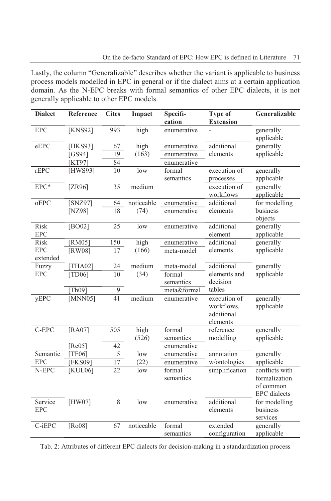Lastly, the column "Generalizable" describes whether the variant is applicable to business process models modelled in EPC in general or if the dialect aims at a certain application domain. As the N-EPC breaks with formal semantics of other EPC dialects, it is not generally applicable to other EPC models.

| <b>Dialect</b> | Reference      | <b>Cites</b>    | Impact     | Specifi-    | Type of                  | Generalizable       |
|----------------|----------------|-----------------|------------|-------------|--------------------------|---------------------|
|                |                |                 |            | cation      | <b>Extension</b>         |                     |
| <b>EPC</b>     | [KNS92]        | 993             | high       | enumerative |                          | generally           |
|                |                |                 |            |             |                          | applicable          |
| eEPC           | [HKS93]        | 67              | high       | enumerative | additional               | generally           |
|                | GS94]          | 19              | (163)      | enumerative | elements                 | applicable          |
|                | [KT97]         | 84              |            | enumerative |                          |                     |
| rEPC           | [HWS93]        | 10              | low        | formal      | execution of             | generally           |
|                |                |                 |            | semantics   | processes                | applicable          |
| EPC*           | $[ZR96]$       | 35              | medium     |             | execution of             | generally           |
|                |                |                 |            |             | workflows                | applicable          |
| oEPC           | SNZ97          | 64              | noticeable | enumerative | additional               | for modelling       |
|                | [ $NZ98$ ]     | $\overline{18}$ | (74)       | enumerative | elements                 | business            |
|                |                |                 |            |             |                          | objects             |
| <b>Risk</b>    | [ $BO02$ ]     | 25              | low        | enumerative | additional               | generally           |
| <b>EPC</b>     |                |                 |            |             | element                  | applicable          |
| Risk           | [RM05]         | 150             | high       | enumerative | additional               | generally           |
| <b>EPC</b>     | [RW08]         | 17              | (166)      | meta-model  | elements                 | applicable          |
| extended       |                |                 |            |             |                          |                     |
| Fuzzy          | [THA02]        | $\overline{24}$ | medium     | meta-model  | additional               | generally           |
| <b>EPC</b>     | [TD06]         | 10              | (34)       | formal      | elements and<br>decision | applicable          |
|                |                |                 |            | semantics   |                          |                     |
|                | [Th09]         | $\overline{9}$  |            | meta&formal | tables                   |                     |
| yEPC           | [MNN05]        | $\overline{41}$ | medium     | enumerative | execution of             | generally           |
|                |                |                 |            |             | workflows,<br>additional | applicable          |
|                |                |                 |            |             | elements                 |                     |
| C-EPC          | [RA07]         | 505             | high       | formal      | reference                | generally           |
|                |                |                 | (526)      | semantics   | modelling                | applicable          |
|                | [Re05]         | 42              |            | enumerative |                          |                     |
| Semantic       | [TF06]         | 5               | low        | enumerative | annotation               | generally           |
| <b>EPC</b>     | <b>[FKS09]</b> | $17$            | (22)       | enumerative | w/ontologies             | applicable          |
| N-EPC          | <b>[KUL06]</b> | 22              | low        | formal      | simplification           | conflicts with      |
|                |                |                 |            | semantics   |                          | formalization       |
|                |                |                 |            |             |                          | of common           |
|                |                |                 |            |             |                          | <b>EPC</b> dialects |
| Service        | [HW07]         | 8               | low        | enumerative | additional               | for modelling       |
| <b>EPC</b>     |                |                 |            |             | elements                 | business            |
|                |                |                 |            |             |                          | services            |
| C-iEPC         | [Ro08]         | 67              | noticeable | formal      | extended                 | generally           |
|                |                |                 |            | semantics   | configuration            | applicable          |
|                |                |                 |            |             |                          |                     |

Tab. 2: Attributes of different EPC dialects for decision-making in a standardization process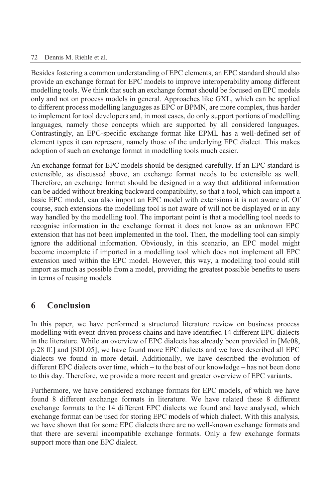Besides fostering a common understanding of EPC elements, an EPC standard should also provide an exchange format for EPC models to improve interoperability among different modelling tools. We think that such an exchange format should be focused on EPC models only and not on process models in general. Approaches like GXL, which can be applied to different process modelling languages as EPC or BPMN, are more complex, thus harder to implement for tool developers and, in most cases, do only support portions of modelling languages, namely those concepts which are supported by all considered languages. Contrastingly, an EPC-specific exchange format like EPML has a well-defined set of element types it can represent, namely those of the underlying EPC dialect. This makes adoption of such an exchange format in modelling tools much easier.

An exchange format for EPC models should be designed carefully. If an EPC standard is extensible, as discussed above, an exchange format needs to be extensible as well. Therefore, an exchange format should be designed in a way that additional information can be added without breaking backward compatibility, so that a tool, which can import a basic EPC model, can also import an EPC model with extensions it is not aware of. Of course, such extensions the modelling tool is not aware of will not be displayed or in any way handled by the modelling tool. The important point is that a modelling tool needs to recognise information in the exchange format it does not know as an unknown EPC extension that has not been implemented in the tool. Then, the modelling tool can simply ignore the additional information. Obviously, in this scenario, an EPC model might become incomplete if imported in a modelling tool which does not implement all EPC extension used within the EPC model. However, this way, a modelling tool could still import as much as possible from a model, providing the greatest possible benefits to users in terms of reusing models.

### **6 Conclusion**

In this paper, we have performed a structured literature review on business process modelling with event-driven process chains and have identified 14 different EPC dialects in the literature. While an overview of EPC dialects has already been provided in [Me08, p.28 ff.] and [SDL05], we have found more EPC dialects and we have described all EPC dialects we found in more detail. Additionally, we have described the evolution of different EPC dialects over time, which – to the best of our knowledge – has not been done to this day. Therefore, we provide a more recent and greater overview of EPC variants.

Furthermore, we have considered exchange formats for EPC models, of which we have found 8 different exchange formats in literature. We have related these 8 different exchange formats to the 14 different EPC dialects we found and have analysed, which exchange format can be used for storing EPC models of which dialect. With this analysis, we have shown that for some EPC dialects there are no well-known exchange formats and that there are several incompatible exchange formats. Only a few exchange formats support more than one EPC dialect.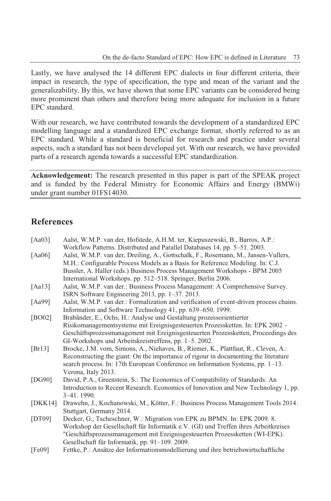Lastly, we have analysed the 14 different EPC dialects in four different criteria, their impact in research, the type of specification, the type and mean of the variant and the generalizability. By this, we have shown that some EPC variants can be considered being more prominent than others and therefore being more adequate for inclusion in a future EPC standard.

With our research, we have contributed towards the development of a standardized EPC modelling language and a standardized EPC exchange format, shortly referred to as an EPC standard. While a standard is beneficial for research and practice under several aspects, such a standard has not been developed yet. With our research, we have provided parts of a research agenda towards a successful EPC standardization.

**Acknowledgement:** The research presented in this paper is part of the SPEAK project and is funded by the Federal Ministry for Economic Affairs and Energy (BMWi) under grant number 01FS14030.

# **References**

| [Aa03]  | Aalst, W.M.P. van der, Hofstede, A.H.M. ter, Kiepuszewski, B., Barros, A.P.:           |
|---------|----------------------------------------------------------------------------------------|
|         | Workflow Patterns. Distributed and Parallel Databases 14, pp. 5–51. 2003.              |
| [Aa06]  | Aalst, W.M.P. van der, Dreiling, A., Gottschalk, F., Rosemann, M., Jansen-Vullers,     |
|         | M.H.: Configurable Process Models as a Basis for Reference Modeling. In: C.J.          |
|         | Bussler, A. Haller (eds.) Business Process Management Workshops - BPM 2005             |
|         | International Workshops. pp. 512–518. Springer, Berlin 2006.                           |
| [Aa13]  | Aalst, W.M.P. van der.: Business Process Management: A Comprehensive Survey.           |
|         | ISRN Software Engineering 2013, pp. 1–37. 2013.                                        |
| [Aa99]  | Aalst, W.M.P. van der.: Formalization and verification of event-driven process chains. |
|         | Information and Software Technology 41, pp. 639–650. 1999.                             |
| [BO02]  | Brabänder, E., Ochs, H.: Analyse und Gestaltung prozessorientierter                    |
|         | Risikomanagementsysteme mit Ereignisgesteuerten Prozessketten. In: EPK 2002 -          |
|         | Geschäftsprozessmanagement mit Ereignisgesteuerten Prozessketten, Proceedings des      |
|         | GI-Workshops und Arbeitskreistreffens, pp. 1–5. 2002.                                  |
| [Br13]  | Brocke, J.M. vom, Simons, A., Niehaves, B., Riemer, K., Plattfaut, R., Cleven, A.:     |
|         | Reconstructing the giant: On the importance of rigour in documenting the literature    |
|         | search process. In: 17th European Conference on Information Systems, pp. 1–13.         |
|         | Verona, Italy 2013.                                                                    |
| [DG90]  | David, P.A., Greenstein, S.: The Economics of Compatibility of Standards: An           |
|         | Introduction to Recent Research. Economics of Innovation and New Technology 1, pp.     |
|         | $3-41.1990.$                                                                           |
| [DKK14] | Drawehn, J., Kochanowski, M., Kötter, F.: Business Process Management Tools 2014.      |
|         | Stuttgart, Germany 2014.                                                               |
| [DT09]  | Decker, G., Tscheschner, W.: Migration von EPK zu BPMN. In: EPK 2009. 8.               |
|         | Workshop der Gesellschaft für Informatik e.V. (GI) und Treffen ihres Arbeitkreises     |
|         | "Geschäftsprozessmanagement mit Ereignisgesteuerten Prozessketten (WI-EPK).            |
|         | Gesellschaft für Informatik, pp. 91-109. 2009.                                         |
| [Fe09]  | Fettke, P.: Ansätze der Informationsmodellierung und ihre betriebswirtschaftliche      |
|         |                                                                                        |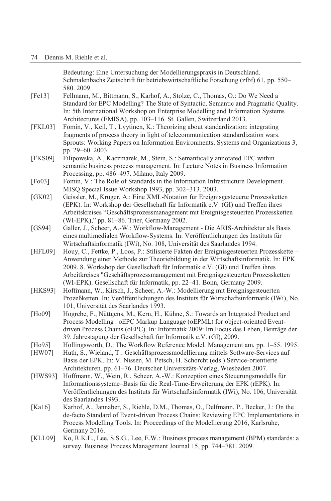Bedeutung: Eine Untersuchung der Modellierungspraxis in Deutschland. Schmalenbachs Zeitschrift für betriebswirtschaftliche Forschung (zfbf) 61, pp. 550– 580. 2009.

- [Fe13] Fellmann, M., Bittmann, S., Karhof, A., Stolze, C., Thomas, O.: Do We Need a Standard for EPC Modelling? The State of Syntactic, Semantic and Pragmatic Quality. In: 5th International Workshop on Enterprise Modelling and Information Systems Architectures (EMISA), pp. 103–116. St. Gallen, Switzerland 2013.
- [FKL03] Fomin, V., Keil, T., Lyytinen, K.: Theorizing about standardization: integrating fragments of process theory in light of telecommunication standardization wars. Sprouts: Working Papers on Information Environments, Systems and Organizations 3, pp. 29–60. 2003.
- [FKS09] Filipowska, A., Kaczmarek, M., Stein, S.: Semantically annotated EPC within semantic business process management. In: Lecture Notes in Business Information Processing, pp. 486–497. Milano, Italy 2009.
- [Fo03] Fomin, V.: The Role of Standards in the Information Infrastructure Development. MISQ Special Issue Workshop 1993, pp. 302–313. 2003.
- [GK02] Geissler, M., Krüger, A.: Eine XML-Notation für Ereignisgesteuerte Prozessketten (EPK). In: Workshop der Gesellschaft für Informatik e.V. (GI) und Treffen ihres Arbeitskreises "Geschäftsprozessmanagement mit Ereignisgesteuerten Prozessketten (WI-EPK)," pp. 81–86. Trier, Germany 2002.
- [GS94] Galler, J., Scheer, A.-W.: Workflow-Management Die ARIS-Architektur als Basis eines multimedialen Workflow-Systems. In: Veröffentlichungen des Instituts für Wirtschaftsinformatik (IWi), No. 108, Universität des Saarlandes 1994.
- [HFL09] Houy, C., Fettke, P., Loos, P.: Stilisierte Fakten der Ereignisgesteuerten Prozesskette Anwendung einer Methode zur Theoriebildung in der Wirtschaftsinformatik. In: EPK 2009. 8. Workshop der Gesellschaft für Informatik e.V. (GI) und Treffen ihres Arbeitkreises "Geschäftsprozessmanagement mit Ereignisgesteuerten Prozessketten (WI-EPK). Gesellschaft für Informatik, pp. 22–41. Bonn, Germany 2009.
- [HKS93] Hoffmann, W., Kirsch, J., Scheer, A.-W.: Modellierung mit Ereignisgesteuerten Prozeßketten. In: Veröffentlichungen des Instituts für Wirtschaftsinformatik (IWi), No. 101, Universität des Saarlandes 1993.
- [Ho09] Hogrebe, F., Nüttgens, M., Kern, H., Kühne, S.: Towards an Integrated Product and Process Modelling : oEPC Markup Language (oEPML) for object-oriented Eventdriven Process Chains (oEPC). In: Informatik 2009: Im Focus das Leben, Beiträge der 39. Jahrestagung der Gesellschaft für Informatik e.V. (GI), 2009.
- [Ho95] Hollingsworth, D.: The Workflow Reference Model. Management am, pp. 1–55. 1995.
- [HW07] Huth, S., Wieland, T.: Geschäftsprozessmodellierung mittels Software-Services auf Basis der EPK. In: V. Nissen, M. Petsch, H. Schorcht (eds.) Service-orientierte Architekturen. pp. 61–76. Deutscher Universitäts-Verlag, Wiesbaden 2007.
- [HWS93] Hoffmann, W., Wein, R., Scheer, A.-W.: Konzeption eines Steuerungsmodells für Informationssysteme–Basis für die Real-Time-Erweiterung der EPK (rEPK). In: Veröffentlichungen des Instituts für Wirtschaftsinformatik (IWi), No. 106, Universität des Saarlandes 1993.
- [Ka16] Karhof, A., Jannaber, S., Riehle, D.M., Thomas, O., Delfmann, P., Becker, J.: On the de-facto Standard of Event-driven Process Chains: Reviewing EPC Implementations in Process Modelling Tools. In: Proceedings of the Modellierung 2016, Karlsruhe, Germany 2016.
- [KLL09] Ko, R.K.L., Lee, S.S.G., Lee, E.W.: Business process management (BPM) standards: a survey. Business Process Management Journal 15, pp. 744–781. 2009.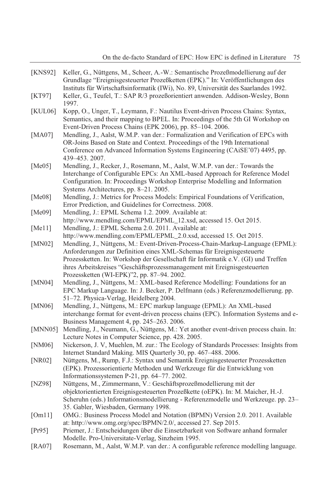| [KNS92]     | Keller, G., Nüttgens, M., Scheer, A.-W.: Semantische Prozeßmodellierung auf der<br>Grundlage "Ereignisgesteuerter Prozeßketten (EPK)." In: Veröffentlichungen des                                                                                                                                                                                                      |
|-------------|------------------------------------------------------------------------------------------------------------------------------------------------------------------------------------------------------------------------------------------------------------------------------------------------------------------------------------------------------------------------|
| [KT97]      | Instituts für Wirtschaftsinformatik (IWi), No. 89, Universität des Saarlandes 1992.<br>Keller, G., Teufel, T.: SAP R/3 prozeßorientiert anwenden. Addison-Wesley, Bonn<br>1997.                                                                                                                                                                                        |
| [KUL06]     | Kopp, O., Unger, T., Leymann, F.: Nautilus Event-driven Process Chains: Syntax,<br>Semantics, and their mapping to BPEL. In: Proceedings of the 5th GI Workshop on<br>Event-Driven Process Chains (EPK 2006), pp. 85-104. 2006.                                                                                                                                        |
| [ $MA07$ ]  | Mendling, J., Aalst, W.M.P. van der.: Formalization and Verification of EPCs with<br>OR-Joins Based on State and Context. Proceedings of the 19th International<br>Conference on Advanced Information Systems Engineering (CAiSE'07) 4495, pp.<br>439-453, 2007.                                                                                                       |
| [Me05]      | Mendling, J., Recker, J., Rosemann, M., Aalst, W.M.P. van der.: Towards the<br>Interchange of Configurable EPCs: An XML-based Approach for Reference Model<br>Configuration. In: Proceedings Workshop Enterprise Modelling and Information<br>Systems Architectures, pp. 8-21. 2005.                                                                                   |
| [Me08]      | Mendling, J.: Metrics for Process Models: Empirical Foundations of Verification,<br>Error Prediction, and Guidelines for Correctness. 2008.                                                                                                                                                                                                                            |
| [Me09]      | Mendling, J.: EPML Schema 1.2. 2009. Available at:                                                                                                                                                                                                                                                                                                                     |
| [ $Mel1]$ ] | http://www.mendling.com/EPML/EPML_12.xsd, accessed 15. Oct 2015.<br>Mendling, J.: EPML Schema 2.0. 2011. Available at:<br>http://www.mendling.com/EPML/EPML_2.0.xsd, accessed 15. Oct 2015.                                                                                                                                                                            |
| [MN02]      | Mendling, J., Nüttgens, M.: Event-Driven-Process-Chain-Markup-Language (EPML):<br>Anforderungen zur Definition eines XML-Schemas für Ereignisgesteuerte<br>Prozessketten. In: Workshop der Gesellschaft für Informatik e.V. (GI) und Treffen<br>ihres Arbeitskreises "Geschäftsprozessmanagement mit Ereignisgesteuerten<br>Prozessketten (WI-EPK)"2, pp. 87-94. 2002. |
| [MN04]      | Mendling, J., Nüttgens, M.: XML-based Reference Modelling: Foundations for an<br>EPC Markup Language. In: J. Becker, P. Delfmann (eds.) Referenzmodellierung. pp.<br>51-72. Physica-Verlag, Heidelberg 2004.                                                                                                                                                           |
| [MN06]      | Mendling, J., Nüttgens, M.: EPC markup language (EPML): An XML-based<br>interchange format for event-driven process chains (EPC). Information Systems and e-<br>Business Management 4, pp. 245-263. 2006.                                                                                                                                                              |
| [MNN05]     | Mendling, J., Neumann, G., Nüttgens, M.: Yet another event-driven process chain. In:<br>Lecture Notes in Computer Science, pp. 428, 2005.                                                                                                                                                                                                                              |
| [NM06]      | Nickerson, J. V, Muehlen, M. zur.: The Ecology of Standards Processes: Insights from<br>Internet Standard Making. MIS Quarterly 30, pp. 467–488. 2006.                                                                                                                                                                                                                 |
| [NR02]      | Nüttgens, M., Rump, F.J.: Syntax und Semantik Ereignisgesteuerter Prozessketten<br>(EPK). Prozessorientierte Methoden und Werkzeuge für die Entwicklung von<br>Informationssystemen P-21, pp. 64-77. 2002.                                                                                                                                                             |
| [NZ98]      | Nüttgens, M., Zimmermann, V.: Geschäftsprozeßmodellierung mit der<br>objektorientierten Ereignisgesteuerten Prozeßkette (oEPK). In: M. Maicher, H.-J.<br>Scheruhn (eds.) Informationsmodellierung - Referenzmodelle und Werkzeuge. pp. 23-<br>35. Gabler, Wiesbaden, Germany 1998.                                                                                     |
| [Om11]      | OMG.: Business Process Model and Notation (BPMN) Version 2.0. 2011. Available<br>at: http://www.omg.org/spec/BPMN/2.0/, accessed 27. Sep 2015.                                                                                                                                                                                                                         |
| [Pr95]      | Priemer, J.: Entscheidungen über die Einsetzbarkeit von Software anhand formaler<br>Modelle. Pro-Universitate-Verlag, Sinzheim 1995.                                                                                                                                                                                                                                   |
| [RA07]      | Rosemann, M., Aalst, W.M.P. van der.: A configurable reference modelling language.                                                                                                                                                                                                                                                                                     |